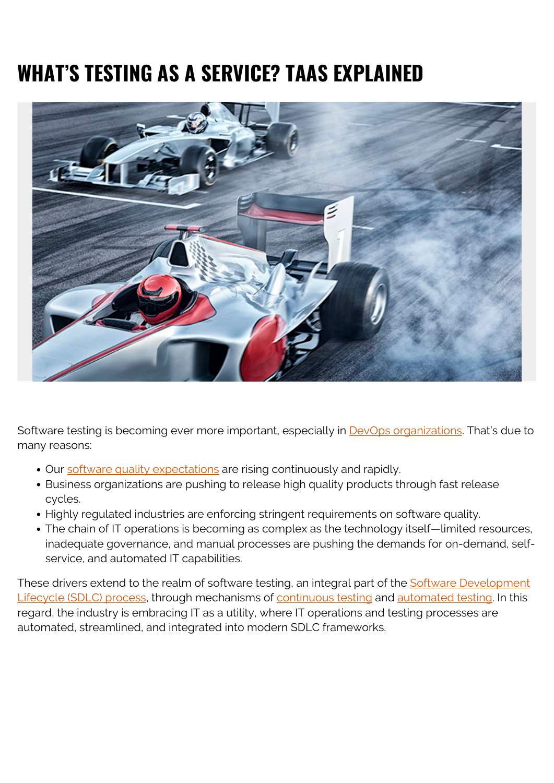# **WHAT'S TESTING AS A SERVICE? TAAS EXPLAINED**



Software testing is becoming ever more important, especially in **DevOps organizations**. That's due to many reasons:

- Our [software quality expectations](https://blogs.bmc.com/blogs/software-quality-metrics/) are rising continuously and rapidly.
- Business organizations are pushing to release high quality products through fast release cycles.
- Highly regulated industries are enforcing stringent requirements on software quality.
- The chain of IT operations is becoming as complex as the technology itself—limited resources, inadequate governance, and manual processes are pushing the demands for on-demand, selfservice, and automated IT capabilities.

These drivers extend to the realm of software testing, an integral part of the [Software Development](https://blogs.bmc.com/blogs/sdlc-software-development-lifecycle/) [Lifecycle \(SDLC\) process](https://blogs.bmc.com/blogs/sdlc-software-development-lifecycle/), through mechanisms of [continuous testing](https://blogs.bmc.com/blogs/devops-continuous-testing/) and [automated testing](https://blogs.bmc.com/blogs/testing-automation/). In this regard, the industry is embracing IT as a utility, where IT operations and testing processes are automated, streamlined, and integrated into modern SDLC frameworks.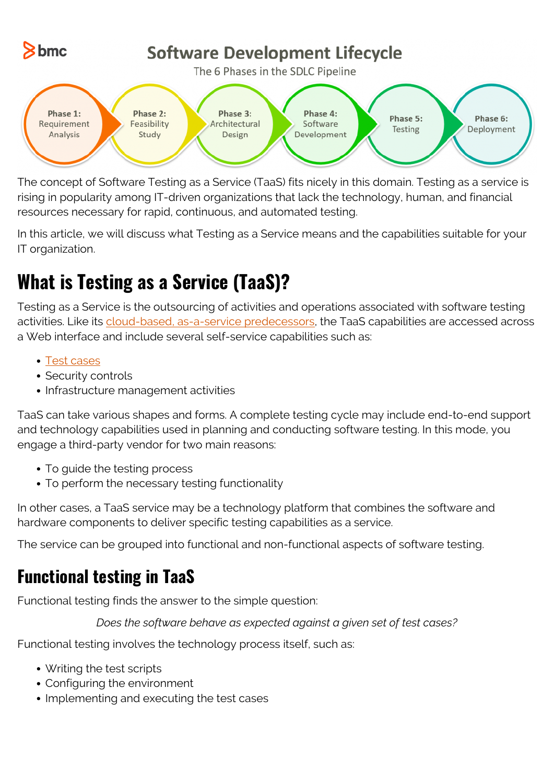

The concept of Software Testing as a Service (TaaS) fits nicely in this domain. Testing as a service is rising in popularity among IT-driven organizations that lack the technology, human, and financial resources necessary for rapid, continuous, and automated testing.

In this article, we will discuss what Testing as a Service means and the capabilities suitable for your IT organization.

## **What is Testing as a Service (TaaS)?**

Testing as a Service is the outsourcing of activities and operations associated with software testing activities. Like its [cloud-based, as-a-service predecessors](https://blogs.bmc.com/blogs/saas-vs-paas-vs-iaas-whats-the-difference-and-how-to-choose/), the TaaS capabilities are accessed across a Web interface and include several self-service capabilities such as:

- [Test cases](https://blogs.bmc.com/blogs/how-to-write-test-cases-for-software/)
- Security controls
- Infrastructure management activities

TaaS can take various shapes and forms. A complete testing cycle may include end-to-end support and technology capabilities used in planning and conducting software testing. In this mode, you engage a third-party vendor for two main reasons:

- To guide the testing process
- To perform the necessary testing functionality

In other cases, a TaaS service may be a technology platform that combines the software and hardware components to deliver specific testing capabilities as a service.

The service can be grouped into functional and non-functional aspects of software testing.

#### **Functional testing in TaaS**

Functional testing finds the answer to the simple question:

*Does the software behave as expected against a given set of test cases?*

Functional testing involves the technology process itself, such as:

- Writing the test scripts
- Configuring the environment
- Implementing and executing the test cases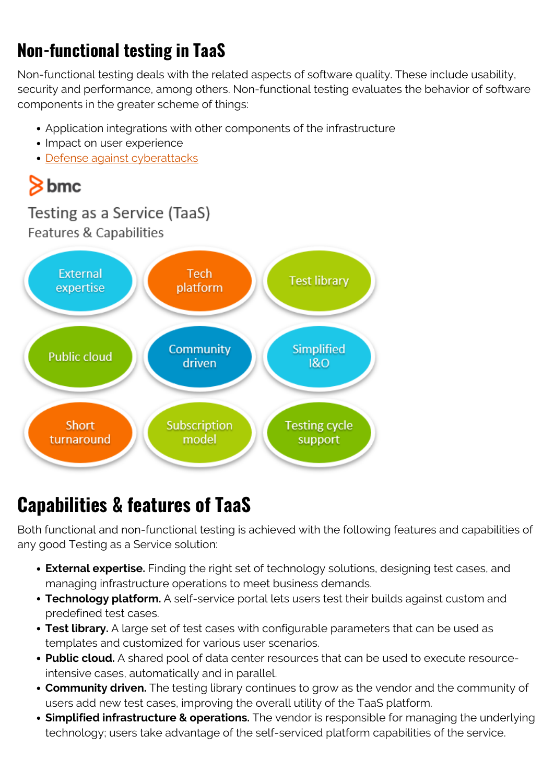#### **Non-functional testing in TaaS**

Non-functional testing deals with the related aspects of software quality. These include usability, security and performance, among others. Non-functional testing evaluates the behavior of software components in the greater scheme of things:

- Application integrations with other components of the infrastructure
- Impact on user experience
- [Defense against cyberattacks](https://blogs.bmc.com/blogs/cybercrime/)



#### **Capabilities & features of TaaS**

Both functional and non-functional testing is achieved with the following features and capabilities of any good Testing as a Service solution:

- **External expertise.** Finding the right set of technology solutions, designing test cases, and managing infrastructure operations to meet business demands.
- **Technology platform.** A self-service portal lets users test their builds against custom and predefined test cases.
- **Test library.** A large set of test cases with configurable parameters that can be used as templates and customized for various user scenarios.
- **Public cloud.** A shared pool of data center resources that can be used to execute resourceintensive cases, automatically and in parallel.
- **Community driven.** The testing library continues to grow as the vendor and the community of users add new test cases, improving the overall utility of the TaaS platform.
- **Simplified infrastructure & operations.** The vendor is responsible for managing the underlying technology; users take advantage of the self-serviced platform capabilities of the service.